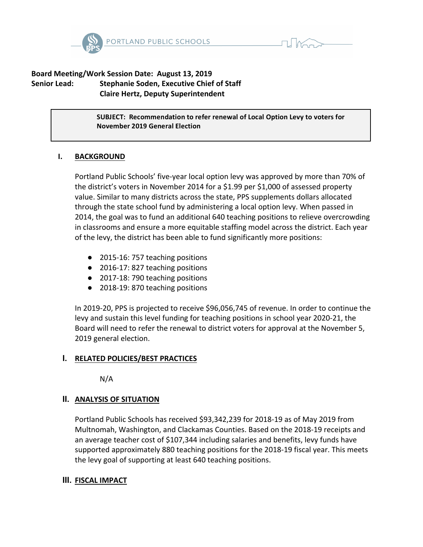



## Board Meeting/Work Session Date: August 13, 2019 **Senior Lead:** Stephanie Soden, Executive Chief of Staff  **Claire Hertz, Deputy Superintendent**

**SUBJECT: Recommendation to refer renewal of Local Option Levy to voters for November 2019 General Election**

### **I. BACKGROUND**

Portland Public Schools' five-year local option levy was approved by more than 70% of the district's voters in November 2014 for a \$1.99 per \$1,000 of assessed property value. Similar to many districts across the state, PPS supplements dollars allocated through the state school fund by administering a local option levy. When passed in 2014, the goal was to fund an additional 640 teaching positions to relieve overcrowding in classrooms and ensure a more equitable staffing model across the district. Each year of the levy, the district has been able to fund significantly more positions:

- 2015-16: 757 teaching positions
- 2016-17: 827 teaching positions
- 2017-18: 790 teaching positions
- 2018-19: 870 teaching positions

In 2019-20, PPS is projected to receive \$96,056,745 of revenue. In order to continue the levy and sustain this level funding for teaching positions in school year 2020-21, the Board will need to refer the renewal to district voters for approval at the November 5, 2019 general election.

### **I. RELATED POLICIES/BEST PRACTICES**

N/A

### **II.** ANALYSIS OF SITUATION

Portland Public Schools has received \$93,342,239 for 2018-19 as of May 2019 from Multnomah, Washington, and Clackamas Counties. Based on the 2018-19 receipts and an average teacher cost of \$107,344 including salaries and benefits, levy funds have supported approximately 880 teaching positions for the 2018-19 fiscal year. This meets the levy goal of supporting at least 640 teaching positions.

### **III.** FISCAL IMPACT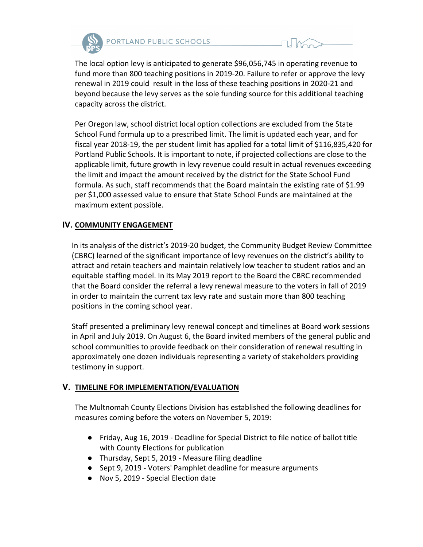



The local option levy is anticipated to generate \$96,056,745 in operating revenue to fund more than 800 teaching positions in 2019-20. Failure to refer or approve the levy renewal in 2019 could result in the loss of these teaching positions in 2020-21 and beyond because the levy serves as the sole funding source for this additional teaching capacity across the district.

Per Oregon law, school district local option collections are excluded from the State School Fund formula up to a prescribed limit. The limit is updated each year, and for fiscal year 2018-19, the per student limit has applied for a total limit of \$116,835,420 for Portland Public Schools. It is important to note, if projected collections are close to the applicable limit, future growth in levy revenue could result in actual revenues exceeding the limit and impact the amount received by the district for the State School Fund formula. As such, staff recommends that the Board maintain the existing rate of \$1.99 per \$1,000 assessed value to ensure that State School Funds are maintained at the maximum extent possible.

# **IV. COMMUNITY ENGAGEMENT**

In its analysis of the district's 2019-20 budget, the Community Budget Review Committee (CBRC) learned of the significant importance of levy revenues on the district's ability to attract and retain teachers and maintain relatively low teacher to student ratios and an equitable staffing model. In its May 2019 report to the Board the CBRC recommended that the Board consider the referral a levy renewal measure to the voters in fall of 2019 in order to maintain the current tax levy rate and sustain more than 800 teaching positions in the coming school year.

Staff presented a preliminary levy renewal concept and timelines at Board work sessions in April and July 2019. On August 6, the Board invited members of the general public and school communities to provide feedback on their consideration of renewal resulting in approximately one dozen individuals representing a variety of stakeholders providing testimony in support.

# **V. TIMELINE FOR IMPLEMENTATION/EVALUATION**

The Multnomah County Elections Division has established the following deadlines for measures coming before the voters on November 5, 2019:

- Friday, Aug 16, 2019 Deadline for Special District to file notice of ballot title with County Elections for publication
- Thursday, Sept 5, 2019 Measure filing deadline
- Sept 9, 2019 Voters' Pamphlet deadline for measure arguments
- Nov 5, 2019 Special Election date